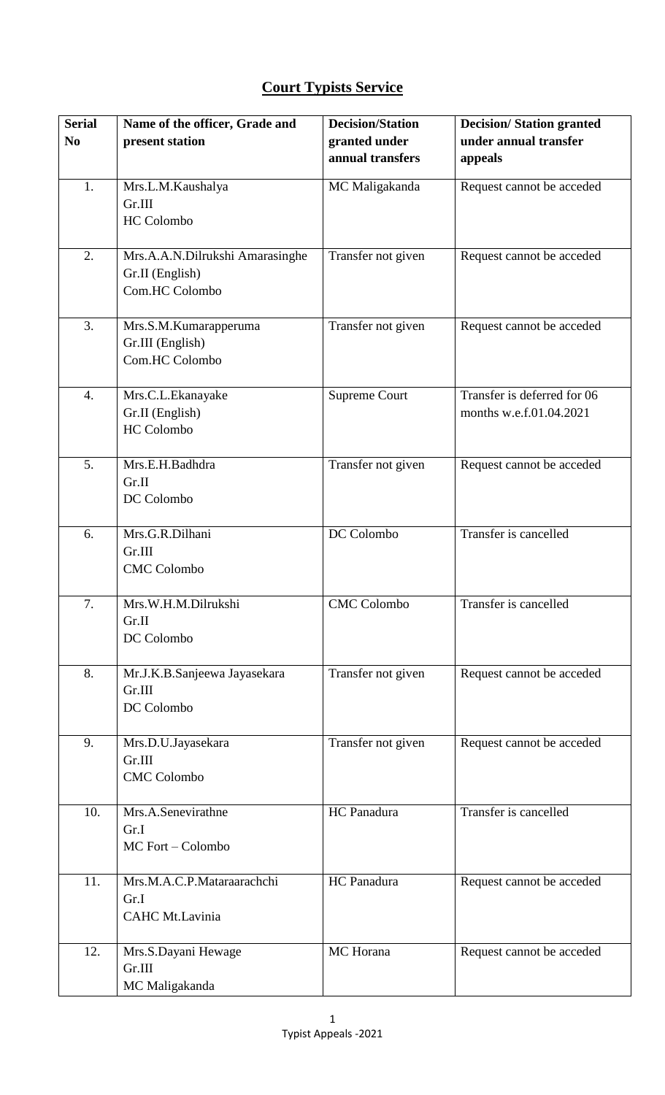## **Court Typists Service**

| <b>Serial</b>  | Name of the officer, Grade and    | <b>Decision/Station</b> | <b>Decision/Station granted</b> |
|----------------|-----------------------------------|-------------------------|---------------------------------|
| N <sub>0</sub> | present station                   | granted under           | under annual transfer           |
|                |                                   | annual transfers        | appeals                         |
|                |                                   |                         |                                 |
| 1.             | Mrs.L.M.Kaushalya                 | MC Maligakanda          | Request cannot be acceded       |
|                | Gr.III                            |                         |                                 |
|                | <b>HC</b> Colombo                 |                         |                                 |
|                |                                   |                         |                                 |
| 2.             | Mrs.A.A.N.Dilrukshi Amarasinghe   | Transfer not given      | Request cannot be acceded       |
|                | Gr.II (English)<br>Com.HC Colombo |                         |                                 |
|                |                                   |                         |                                 |
| 3.             | Mrs.S.M.Kumarapperuma             | Transfer not given      | Request cannot be acceded       |
|                | Gr.III (English)                  |                         |                                 |
|                | Com.HC Colombo                    |                         |                                 |
|                |                                   |                         |                                 |
| 4.             | Mrs.C.L.Ekanayake                 | <b>Supreme Court</b>    | Transfer is deferred for 06     |
|                | Gr.II (English)                   |                         | months w.e.f.01.04.2021         |
|                | <b>HC</b> Colombo                 |                         |                                 |
|                |                                   |                         |                                 |
| 5.             | Mrs.E.H.Badhdra                   | Transfer not given      | Request cannot be acceded       |
|                | Gr.II                             |                         |                                 |
|                | DC Colombo                        |                         |                                 |
|                |                                   |                         |                                 |
| 6.             | Mrs.G.R.Dilhani                   | DC Colombo              | Transfer is cancelled           |
|                | Gr.III                            |                         |                                 |
|                | <b>CMC</b> Colombo                |                         |                                 |
|                |                                   |                         |                                 |
| 7.             | Mrs.W.H.M.Dilrukshi               | <b>CMC</b> Colombo      | Transfer is cancelled           |
|                | Gr.II                             |                         |                                 |
|                | DC Colombo                        |                         |                                 |
| 8.             | Mr.J.K.B.Sanjeewa Jayasekara      | Transfer not given      | Request cannot be acceded       |
|                | Gr.III                            |                         |                                 |
|                | DC Colombo                        |                         |                                 |
|                |                                   |                         |                                 |
| 9.             | Mrs.D.U.Jayasekara                | Transfer not given      | Request cannot be acceded       |
|                | Gr.III                            |                         |                                 |
|                | <b>CMC</b> Colombo                |                         |                                 |
|                |                                   |                         |                                 |
| 10.            | Mrs.A.Senevirathne                | HC Panadura             | Transfer is cancelled           |
|                | Gr.I                              |                         |                                 |
|                | MC Fort - Colombo                 |                         |                                 |
|                |                                   |                         |                                 |
| 11.            | Mrs.M.A.C.P.Mataraarachchi        | HC Panadura             | Request cannot be acceded       |
|                | Gr.I                              |                         |                                 |
|                | CAHC Mt.Lavinia                   |                         |                                 |
|                |                                   |                         |                                 |
| 12.            | Mrs.S.Dayani Hewage               | MC Horana               | Request cannot be acceded       |
|                | Gr.III                            |                         |                                 |
|                | MC Maligakanda                    |                         |                                 |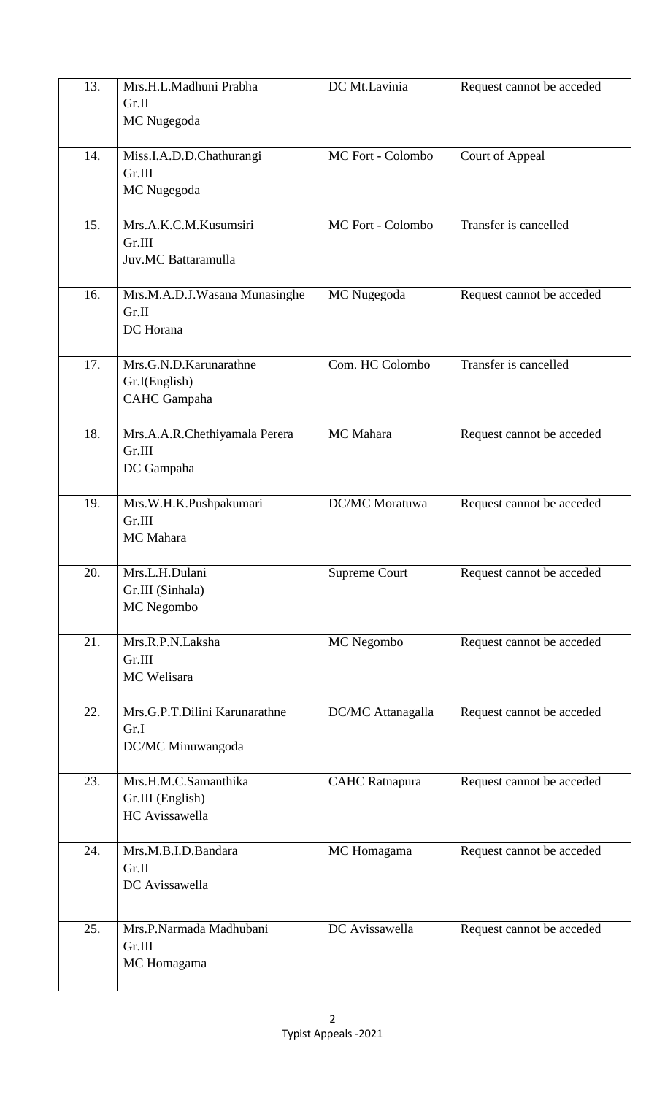| 13. | Mrs.H.L.Madhuni Prabha<br>Gr.II<br>MC Nugegoda                 | DC Mt.Lavinia         | Request cannot be acceded |
|-----|----------------------------------------------------------------|-----------------------|---------------------------|
| 14. | Miss.I.A.D.D.Chathurangi<br>Gr.III<br>MC Nugegoda              | MC Fort - Colombo     | Court of Appeal           |
| 15. | Mrs.A.K.C.M.Kusumsiri<br>Gr.III<br>Juv.MC Battaramulla         | MC Fort - Colombo     | Transfer is cancelled     |
| 16. | Mrs.M.A.D.J.Wasana Munasinghe<br>Gr.II<br>DC Horana            | MC Nugegoda           | Request cannot be acceded |
| 17. | Mrs.G.N.D.Karunarathne<br>Gr.I(English)<br><b>CAHC</b> Gampaha | Com. HC Colombo       | Transfer is cancelled     |
| 18. | Mrs.A.A.R.Chethiyamala Perera<br>Gr.III<br>DC Gampaha          | MC Mahara             | Request cannot be acceded |
| 19. | Mrs.W.H.K.Pushpakumari<br>Gr.III<br>MC Mahara                  | DC/MC Moratuwa        | Request cannot be acceded |
| 20. | Mrs.L.H.Dulani<br>Gr.III (Sinhala)<br>MC Negombo               | Supreme Court         | Request cannot be acceded |
| 21. | Mrs.R.P.N.Laksha<br>Gr.III<br>MC Welisara                      | MC Negombo            | Request cannot be acceded |
| 22. | Mrs.G.P.T.Dilini Karunarathne<br>Gr.I<br>DC/MC Minuwangoda     | DC/MC Attanagalla     | Request cannot be acceded |
| 23. | Mrs.H.M.C.Samanthika<br>Gr.III (English)<br>HC Avissawella     | <b>CAHC</b> Ratnapura | Request cannot be acceded |
| 24. | Mrs.M.B.I.D.Bandara<br>Gr.II<br>DC Avissawella                 | MC Homagama           | Request cannot be acceded |
| 25. | Mrs.P.Narmada Madhubani<br>Gr.III<br>MC Homagama               | DC Avissawella        | Request cannot be acceded |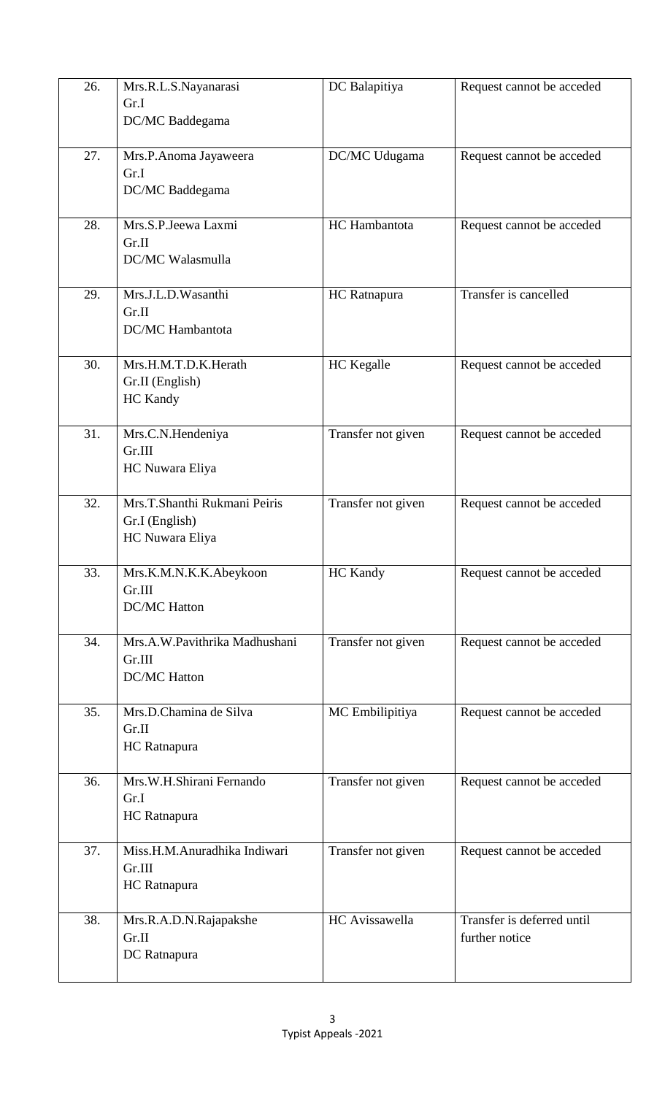| 26. | Mrs.R.L.S.Nayanarasi<br>Gr.I<br>DC/MC Baddegama                   | DC Balapitiya      | Request cannot be acceded                    |
|-----|-------------------------------------------------------------------|--------------------|----------------------------------------------|
| 27. | Mrs.P.Anoma Jayaweera<br>Gr.I<br>DC/MC Baddegama                  | DC/MC Udugama      | Request cannot be acceded                    |
| 28. | Mrs.S.P.Jeewa Laxmi<br>Gr.II<br>DC/MC Walasmulla                  | HC Hambantota      | Request cannot be acceded                    |
| 29. | Mrs.J.L.D.Wasanthi<br>Gr.II<br><b>DC/MC</b> Hambantota            | HC Ratnapura       | Transfer is cancelled                        |
| 30. | Mrs.H.M.T.D.K.Herath<br>Gr.II (English)<br><b>HC</b> Kandy        | HC Kegalle         | Request cannot be acceded                    |
| 31. | Mrs.C.N.Hendeniya<br>Gr.III<br>HC Nuwara Eliya                    | Transfer not given | Request cannot be acceded                    |
| 32. | Mrs.T.Shanthi Rukmani Peiris<br>Gr.I (English)<br>HC Nuwara Eliya | Transfer not given | Request cannot be acceded                    |
| 33. | Mrs.K.M.N.K.K.Abeykoon<br>Gr.III<br><b>DC/MC Hatton</b>           | <b>HC</b> Kandy    | Request cannot be acceded                    |
| 34. | Mrs.A.W.Pavithrika Madhushani<br>Gr.III<br><b>DC/MC Hatton</b>    | Transfer not given | Request cannot be acceded                    |
| 35. | Mrs.D.Chamina de Silva<br>Gr.II<br>HC Ratnapura                   | MC Embilipitiya    | Request cannot be acceded                    |
| 36. | Mrs.W.H.Shirani Fernando<br>Gr.I<br>HC Ratnapura                  | Transfer not given | Request cannot be acceded                    |
| 37. | Miss.H.M.Anuradhika Indiwari<br>Gr.III<br>HC Ratnapura            | Transfer not given | Request cannot be acceded                    |
| 38. | Mrs.R.A.D.N.Rajapakshe<br>Gr.II<br>DC Ratnapura                   | HC Avissawella     | Transfer is deferred until<br>further notice |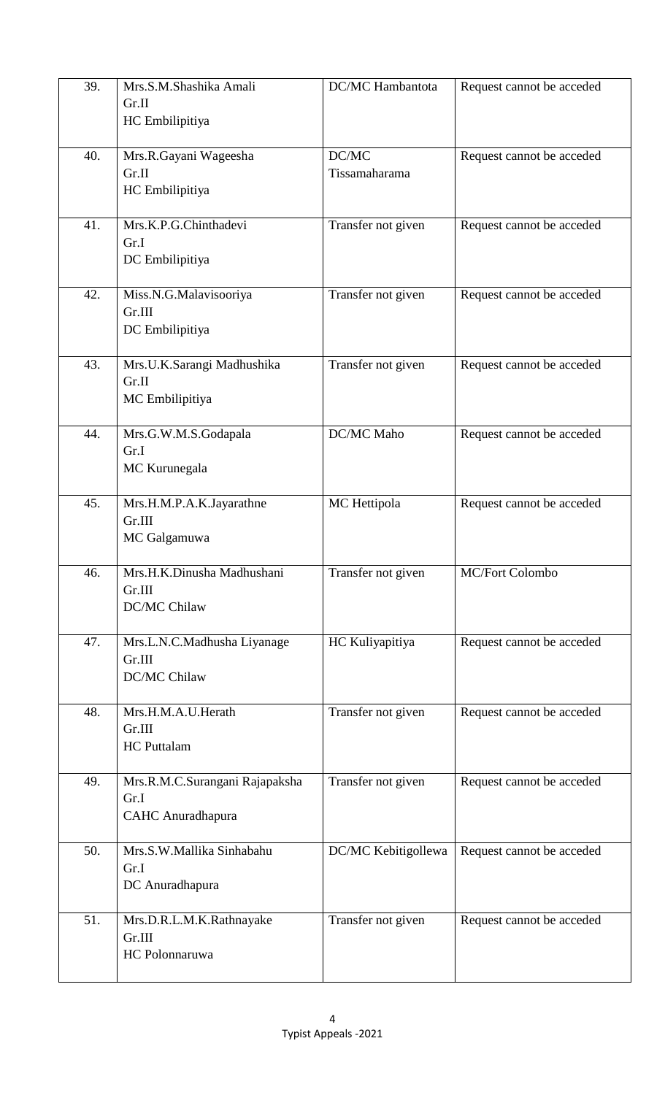| 39. | Mrs.S.M.Shashika Amali<br>Gr.II<br>HC Embilipitiya                 | DC/MC Hambantota       | Request cannot be acceded |
|-----|--------------------------------------------------------------------|------------------------|---------------------------|
| 40. | Mrs.R.Gayani Wageesha<br>Gr.II<br>HC Embilipitiya                  | DC/MC<br>Tissamaharama | Request cannot be acceded |
| 41. | Mrs.K.P.G.Chinthadevi<br>Gr.I<br>DC Embilipitiya                   | Transfer not given     | Request cannot be acceded |
| 42. | Miss.N.G.Malavisooriya<br>Gr.III<br>DC Embilipitiya                | Transfer not given     | Request cannot be acceded |
| 43. | Mrs.U.K.Sarangi Madhushika<br>Gr.II<br>MC Embilipitiya             | Transfer not given     | Request cannot be acceded |
| 44. | Mrs.G.W.M.S.Godapala<br>Gr.I<br>MC Kurunegala                      | DC/MC Maho             | Request cannot be acceded |
| 45. | Mrs.H.M.P.A.K.Jayarathne<br>Gr.III<br>MC Galgamuwa                 | MC Hettipola           | Request cannot be acceded |
| 46. | Mrs.H.K.Dinusha Madhushani<br>Gr.III<br>DC/MC Chilaw               | Transfer not given     | <b>MC/Fort Colombo</b>    |
| 47. | Mrs.L.N.C.Madhusha Liyanage<br>Gr.III<br>DC/MC Chilaw              | HC Kuliyapitiya        | Request cannot be acceded |
| 48. | Mrs.H.M.A.U.Herath<br>Gr.III<br><b>HC</b> Puttalam                 | Transfer not given     | Request cannot be acceded |
| 49. | Mrs.R.M.C.Surangani Rajapaksha<br>Gr.I<br><b>CAHC</b> Anuradhapura | Transfer not given     | Request cannot be acceded |
| 50. | Mrs.S.W.Mallika Sinhabahu<br>Gr.I<br>DC Anuradhapura               | DC/MC Kebitigollewa    | Request cannot be acceded |
| 51. | Mrs.D.R.L.M.K.Rathnayake<br>Gr.III<br>HC Polonnaruwa               | Transfer not given     | Request cannot be acceded |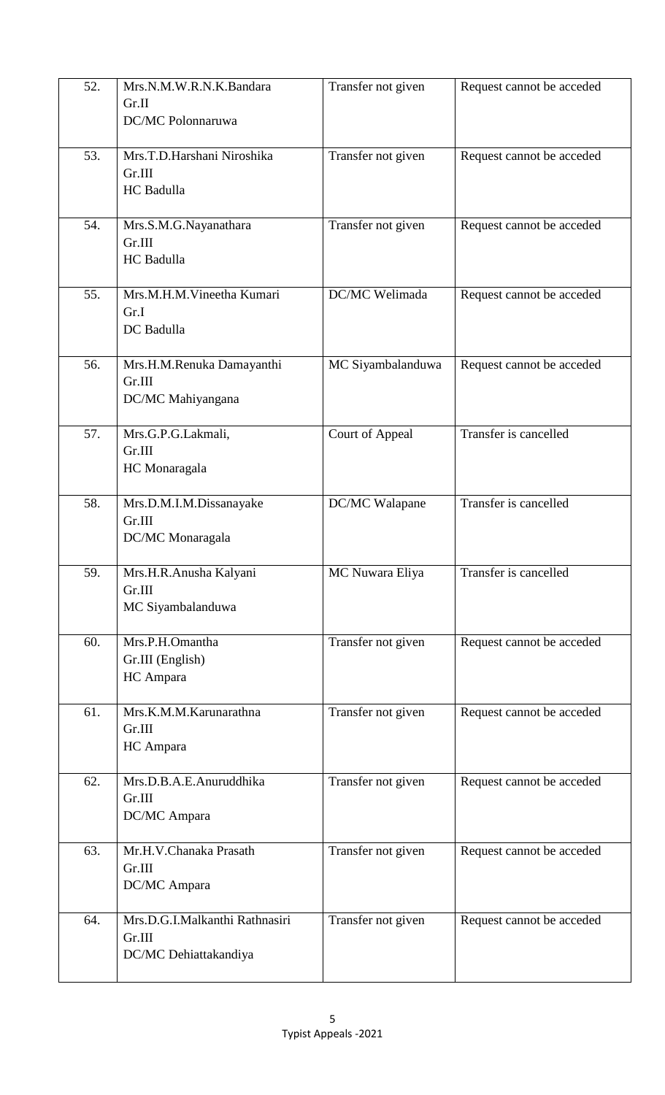| 52. | Mrs.N.M.W.R.N.K.Bandara<br>Gr.II<br>DC/MC Polonnaruwa             | Transfer not given | Request cannot be acceded |
|-----|-------------------------------------------------------------------|--------------------|---------------------------|
| 53. | Mrs.T.D.Harshani Niroshika<br>Gr.III<br><b>HC</b> Badulla         | Transfer not given | Request cannot be acceded |
| 54. | Mrs.S.M.G.Nayanathara<br>Gr.III<br>HC Badulla                     | Transfer not given | Request cannot be acceded |
| 55. | Mrs.M.H.M.Vineetha Kumari<br>Gr.I<br>DC Badulla                   | DC/MC Welimada     | Request cannot be acceded |
| 56. | Mrs.H.M.Renuka Damayanthi<br>Gr.III<br>DC/MC Mahiyangana          | MC Siyambalanduwa  | Request cannot be acceded |
| 57. | Mrs.G.P.G.Lakmali,<br>Gr.III<br>HC Monaragala                     | Court of Appeal    | Transfer is cancelled     |
| 58. | Mrs.D.M.I.M.Dissanayake<br>Gr.III<br>DC/MC Monaragala             | DC/MC Walapane     | Transfer is cancelled     |
| 59. | Mrs.H.R.Anusha Kalyani<br>Gr.III<br>MC Siyambalanduwa             | MC Nuwara Eliya    | Transfer is cancelled     |
| 60. | Mrs.P.H.Omantha<br>Gr.III (English)<br>HC Ampara                  | Transfer not given | Request cannot be acceded |
| 61. | Mrs.K.M.M.Karunarathna<br>Gr.III<br>HC Ampara                     | Transfer not given | Request cannot be acceded |
| 62. | Mrs.D.B.A.E.Anuruddhika<br>Gr.III<br>DC/MC Ampara                 | Transfer not given | Request cannot be acceded |
| 63. | Mr.H.V.Chanaka Prasath<br>Gr.III<br>DC/MC Ampara                  | Transfer not given | Request cannot be acceded |
| 64. | Mrs.D.G.I.Malkanthi Rathnasiri<br>Gr.III<br>DC/MC Dehiattakandiya | Transfer not given | Request cannot be acceded |